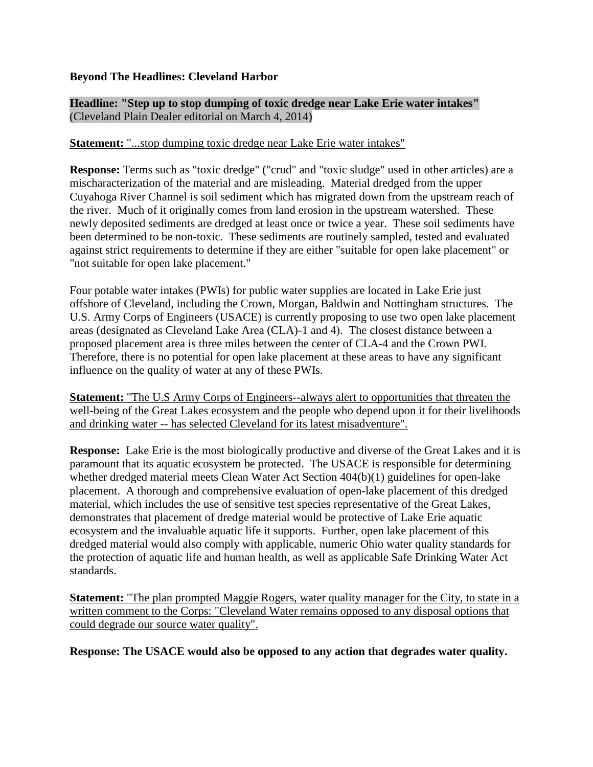## **Beyond The Headlines: Cleveland Harbor**

**Headline: "Step up to stop dumping of toxic dredge near Lake Erie water intakes"** (Cleveland Plain Dealer editorial on March 4, 2014)

## **Statement:** "...stop dumping toxic dredge near Lake Erie water intakes"

**Response:** Terms such as "toxic dredge" ("crud" and "toxic sludge" used in other articles) are a mischaracterization of the material and are misleading. Material dredged from the upper Cuyahoga River Channel is soil sediment which has migrated down from the upstream reach of the river. Much of it originally comes from land erosion in the upstream watershed. These newly deposited sediments are dredged at least once or twice a year. These soil sediments have been determined to be non-toxic. These sediments are routinely sampled, tested and evaluated against strict requirements to determine if they are either "suitable for open lake placement" or "not suitable for open lake placement."

Four potable water intakes (PWIs) for public water supplies are located in Lake Erie just offshore of Cleveland, including the Crown, Morgan, Baldwin and Nottingham structures. The U.S. Army Corps of Engineers (USACE) is currently proposing to use two open lake placement areas (designated as Cleveland Lake Area (CLA)-1 and 4). The closest distance between a proposed placement area is three miles between the center of CLA-4 and the Crown PWI. Therefore, there is no potential for open lake placement at these areas to have any significant influence on the quality of water at any of these PWIs.

**Statement:** "The U.S Army Corps of Engineers--always alert to opportunities that threaten the well-being of the Great Lakes ecosystem and the people who depend upon it for their livelihoods and drinking water -- has selected Cleveland for its latest misadventure".

**Response:** Lake Erie is the most biologically productive and diverse of the Great Lakes and it is paramount that its aquatic ecosystem be protected. The USACE is responsible for determining whether dredged material meets Clean Water Act Section 404(b)(1) guidelines for open-lake placement. A thorough and comprehensive evaluation of open-lake placement of this dredged material, which includes the use of sensitive test species representative of the Great Lakes, demonstrates that placement of dredge material would be protective of Lake Erie aquatic ecosystem and the invaluable aquatic life it supports. Further, open lake placement of this dredged material would also comply with applicable, numeric Ohio water quality standards for the protection of aquatic life and human health, as well as applicable Safe Drinking Water Act standards.

**Statement:** "The plan prompted Maggie Rogers, water quality manager for the City, to state in a written comment to the Corps: "Cleveland Water remains opposed to any disposal options that could degrade our source water quality".

**Response: The USACE would also be opposed to any action that degrades water quality.**